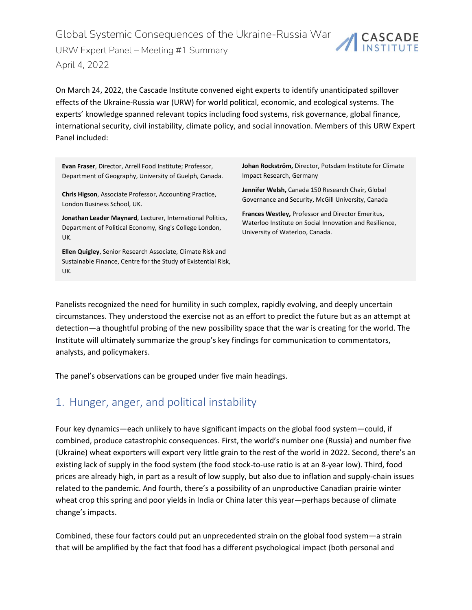Global Systemic Consequences of the Ukraine-Russia War CASCADE URW Expert Panel – Meeting #1 Summary April 4, 2022

On March 24, 2022, the Cascade Institute convened eight experts to identify unanticipated spillover effects of the Ukraine-Russia war (URW) for world political, economic, and ecological systems. The experts' knowledge spanned relevant topics including food systems, risk governance, global finance, international security, civil instability, climate policy, and social innovation. Members of this URW Expert Panel included:

**Evan Fraser**, Director, Arrell Food Institute; Professor, Department of Geography, University of Guelph, Canada.

**Chris Higson**, Associate Professor, Accounting Practice, London Business School, UK.

**Jonathan Leader Maynard**, Lecturer, International Politics, Department of Political Economy, King's College London, UK.

**Ellen Quigley**, Senior Research Associate, Climate Risk and Sustainable Finance, Centre for the Study of Existential Risk, UK.

**Johan Rockström,** Director, Potsdam Institute for Climate Impact Research, Germany

**Jennifer Welsh,** Canada 150 Research Chair, Global Governance and Security, McGill University, Canada

**Frances Westley,** Professor and Director Emeritus, Waterloo Institute on Social Innovation and Resilience, University of Waterloo, Canada.

Panelists recognized the need for humility in such complex, rapidly evolving, and deeply uncertain circumstances. They understood the exercise not as an effort to predict the future but as an attempt at detection—a thoughtful probing of the new possibility space that the war is creating for the world. The Institute will ultimately summarize the group's key findings for communication to commentators, analysts, and policymakers.

The panel's observations can be grouped under five main headings.

#### 1. Hunger, anger, and political instability

Four key dynamics—each unlikely to have significant impacts on the global food system—could, if combined, produce catastrophic consequences. First, the world's number one (Russia) and number five (Ukraine) wheat exporters will export very little grain to the rest of the world in 2022. Second, there's an existing lack of supply in the food system (the food stock-to-use ratio is at an 8-year low). Third, food prices are already high, in part as a result of low supply, but also due to inflation and supply-chain issues related to the pandemic. And fourth, there's a possibility of an unproductive Canadian prairie winter wheat crop this spring and poor yields in India or China later this year—perhaps because of climate change's impacts.

Combined, these four factors could put an unprecedented strain on the global food system—a strain that will be amplified by the fact that food has a different psychological impact (both personal and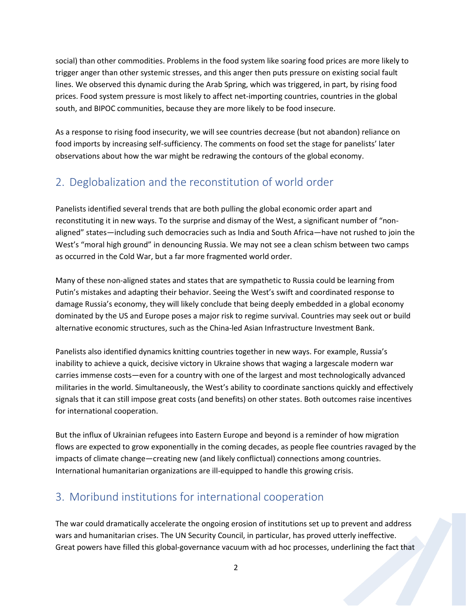social) than other commodities. Problems in the food system like soaring food prices are more likely to trigger anger than other systemic stresses, and this anger then puts pressure on existing social fault lines. We observed this dynamic during the Arab Spring, which was triggered, in part, by rising food prices. Food system pressure is most likely to affect net-importing countries, countries in the global south, and BIPOC communities, because they are more likely to be food insecure.

As a response to rising food insecurity, we will see countries decrease (but not abandon) reliance on food imports by increasing self-sufficiency. The comments on food set the stage for panelists' later observations about how the war might be redrawing the contours of the global economy.

## 2. Deglobalization and the reconstitution of world order

Panelists identified several trends that are both pulling the global economic order apart and reconstituting it in new ways. To the surprise and dismay of the West, a significant number of "nonaligned" states—including such democracies such as India and South Africa—have not rushed to join the West's "moral high ground" in denouncing Russia. We may not see a clean schism between two camps as occurred in the Cold War, but a far more fragmented world order.

Many of these non-aligned states and states that are sympathetic to Russia could be learning from Putin's mistakes and adapting their behavior. Seeing the West's swift and coordinated response to damage Russia's economy, they will likely conclude that being deeply embedded in a global economy dominated by the US and Europe poses a major risk to regime survival. Countries may seek out or build alternative economic structures, such as the China-led Asian Infrastructure Investment Bank.

Panelists also identified dynamics knitting countries together in new ways. For example, Russia's inability to achieve a quick, decisive victory in Ukraine shows that waging a largescale modern war carries immense costs—even for a country with one of the largest and most technologically advanced militaries in the world. Simultaneously, the West's ability to coordinate sanctions quickly and effectively signals that it can still impose great costs (and benefits) on other states. Both outcomes raise incentives for international cooperation.

But the influx of Ukrainian refugees into Eastern Europe and beyond is a reminder of how migration flows are expected to grow exponentially in the coming decades, as people flee countries ravaged by the impacts of climate change—creating new (and likely conflictual) connections among countries. International humanitarian organizations are ill-equipped to handle this growing crisis.

### 3. Moribund institutions for international cooperation

The war could dramatically accelerate the ongoing erosion of institutions set up to prevent and address wars and humanitarian crises. The UN Security Council, in particular, has proved utterly ineffective. Great powers have filled this global-governance vacuum with ad hoc processes, underlining the fact that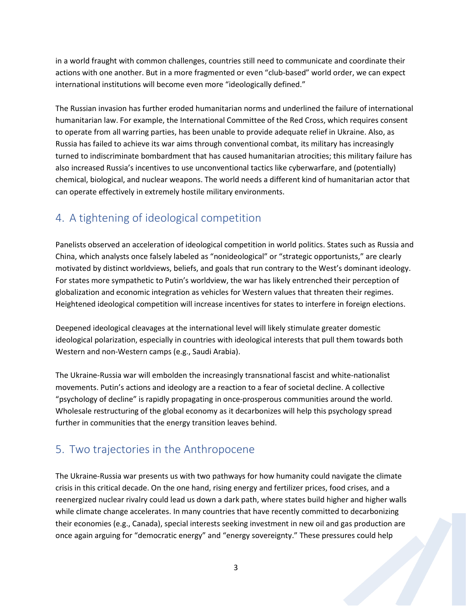in a world fraught with common challenges, countries still need to communicate and coordinate their actions with one another. But in a more fragmented or even "club-based" world order, we can expect international institutions will become even more "ideologically defined."

The Russian invasion has further eroded humanitarian norms and underlined the failure of international humanitarian law. For example, the International Committee of the Red Cross, which requires consent to operate from all warring parties, has been unable to provide adequate relief in Ukraine. Also, as Russia has failed to achieve its war aims through conventional combat, its military has increasingly turned to indiscriminate bombardment that has caused humanitarian atrocities; this military failure has also increased Russia's incentives to use unconventional tactics like cyberwarfare, and (potentially) chemical, biological, and nuclear weapons. The world needs a different kind of humanitarian actor that can operate effectively in extremely hostile military environments.

### 4. A tightening of ideological competition

Panelists observed an acceleration of ideological competition in world politics. States such as Russia and China, which analysts once falsely labeled as "nonideological" or "strategic opportunists," are clearly motivated by distinct worldviews, beliefs, and goals that run contrary to the West's dominant ideology. For states more sympathetic to Putin's worldview, the war has likely entrenched their perception of globalization and economic integration as vehicles for Western values that threaten their regimes. Heightened ideological competition will increase incentives for states to interfere in foreign elections.

Deepened ideological cleavages at the international level will likely stimulate greater domestic ideological polarization, especially in countries with ideological interests that pull them towards both Western and non-Western camps (e.g., Saudi Arabia).

The Ukraine-Russia war will embolden the increasingly transnational fascist and white-nationalist movements. Putin's actions and ideology are a reaction to a fear of societal decline. A collective "psychology of decline" is rapidly propagating in once-prosperous communities around the world. Wholesale restructuring of the global economy as it decarbonizes will help this psychology spread further in communities that the energy transition leaves behind.

# 5. Two trajectories in the Anthropocene

The Ukraine-Russia war presents us with two pathways for how humanity could navigate the climate crisis in this critical decade. On the one hand, rising energy and fertilizer prices, food crises, and a reenergized nuclear rivalry could lead us down a dark path, where states build higher and higher walls while climate change accelerates. In many countries that have recently committed to decarbonizing their economies (e.g., Canada), special interests seeking investment in new oil and gas production are once again arguing for "democratic energy" and "energy sovereignty." These pressures could help